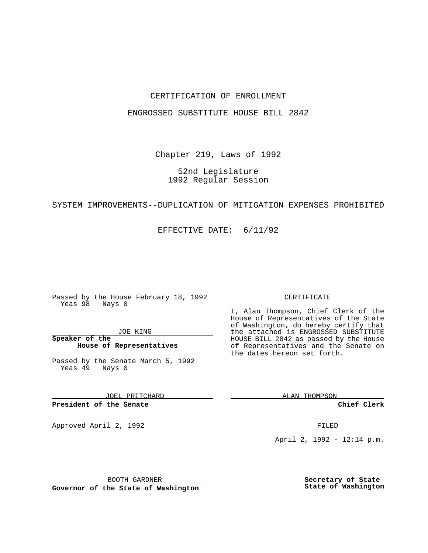### CERTIFICATION OF ENROLLMENT

#### ENGROSSED SUBSTITUTE HOUSE BILL 2842

Chapter 219, Laws of 1992

## 52nd Legislature 1992 Regular Session

#### SYSTEM IMPROVEMENTS--DUPLICATION OF MITIGATION EXPENSES PROHIBITED

EFFECTIVE DATE: 6/11/92

Passed by the House February 18, 1992 Yeas 98 Nays 0

JOE KING

**Speaker of the House of Representatives**

Passed by the Senate March 5, 1992 Yeas 49 Nays 0

JOEL PRITCHARD

**President of the Senate**

Approved April 2, 1992 **FILED** 

BOOTH GARDNER

**Governor of the State of Washington**

#### CERTIFICATE

I, Alan Thompson, Chief Clerk of the House of Representatives of the State of Washington, do hereby certify that the attached is ENGROSSED SUBSTITUTE HOUSE BILL 2842 as passed by the House of Representatives and the Senate on the dates hereon set forth.

ALAN THOMPSON

**Chief Clerk**

April 2, 1992 - 12:14 p.m.

**Secretary of State State of Washington**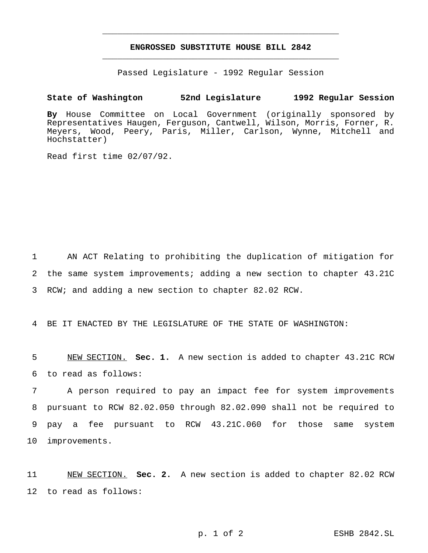# **ENGROSSED SUBSTITUTE HOUSE BILL 2842** \_\_\_\_\_\_\_\_\_\_\_\_\_\_\_\_\_\_\_\_\_\_\_\_\_\_\_\_\_\_\_\_\_\_\_\_\_\_\_\_\_\_\_\_\_\_\_

\_\_\_\_\_\_\_\_\_\_\_\_\_\_\_\_\_\_\_\_\_\_\_\_\_\_\_\_\_\_\_\_\_\_\_\_\_\_\_\_\_\_\_\_\_\_\_

Passed Legislature - 1992 Regular Session

#### **State of Washington 52nd Legislature 1992 Regular Session**

**By** House Committee on Local Government (originally sponsored by Representatives Haugen, Ferguson, Cantwell, Wilson, Morris, Forner, R. Meyers, Wood, Peery, Paris, Miller, Carlson, Wynne, Mitchell and Hochstatter)

Read first time 02/07/92.

1 AN ACT Relating to prohibiting the duplication of mitigation for 2 the same system improvements; adding a new section to chapter 43.21C 3 RCW; and adding a new section to chapter 82.02 RCW.

4 BE IT ENACTED BY THE LEGISLATURE OF THE STATE OF WASHINGTON:

5 NEW SECTION. **Sec. 1.** A new section is added to chapter 43.21C RCW 6 to read as follows:

 A person required to pay an impact fee for system improvements pursuant to RCW 82.02.050 through 82.02.090 shall not be required to pay a fee pursuant to RCW 43.21C.060 for those same system improvements.

11 NEW SECTION. **Sec. 2.** A new section is added to chapter 82.02 RCW 12 to read as follows: